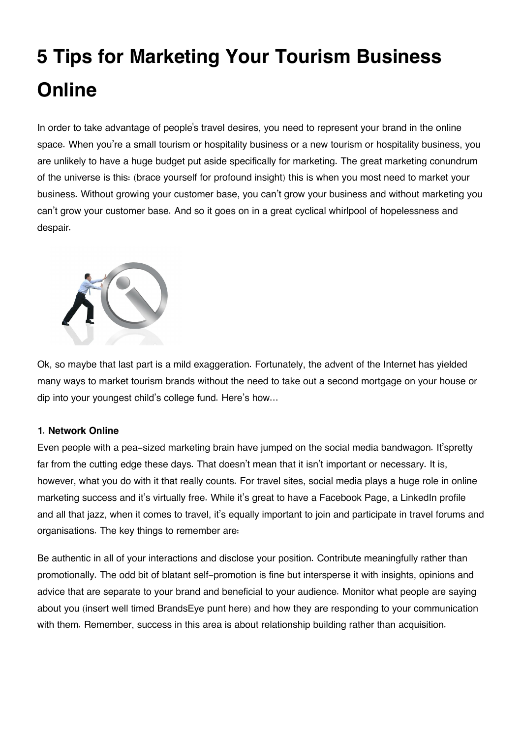# **5 Tips for Marketing Your Tourism Business Online**

In order to take advantage of people's travel desires, you need to represent your brand in the online space. When you're a small tourism or hospitality business or a new tourism or hospitality business, you are unlikely to have a huge budget put aside specifically for marketing. The great marketing conundrum of the universe is this: (brace yourself for profound insight) this is when you most need to market your business. Without growing your customer base, you can't grow your business and without marketing you can't grow your customer base. And so it goes on in a great cyclical whirlpool of hopelessness and despair.



Ok, so maybe that last part is a mild exaggeration. Fortunately, the advent of the Internet has yielded many ways to market tourism brands without the need to take out a second mortgage on your house or dip into your youngest child's college fund. Here's how…

# **1. Network Online**

Even people with a pea-sized marketing brain have jumped on the social media bandwagon. It'spretty far from the cutting edge these days. That doesn't mean that it isn't important or necessary. It is, however, what you do with it that really counts. For travel sites, social media plays a huge role in online marketing success and it's virtually free. While it's great to have a Facebook Page, a LinkedIn profile and all that jazz, when it comes to travel, it's equally important to join and participate in travel forums and organisations. The key things to remember are:

Be authentic in all of your interactions and disclose your position. Contribute meaningfully rather than promotionally. The odd bit of blatant self-promotion is fine but intersperse it with insights, opinions and advice that are separate to your brand and beneficial to your audience. Monitor what people are saying about you (insert well timed BrandsEye punt here) and how they are responding to your communication with them. Remember, success in this area is about relationship building rather than acquisition.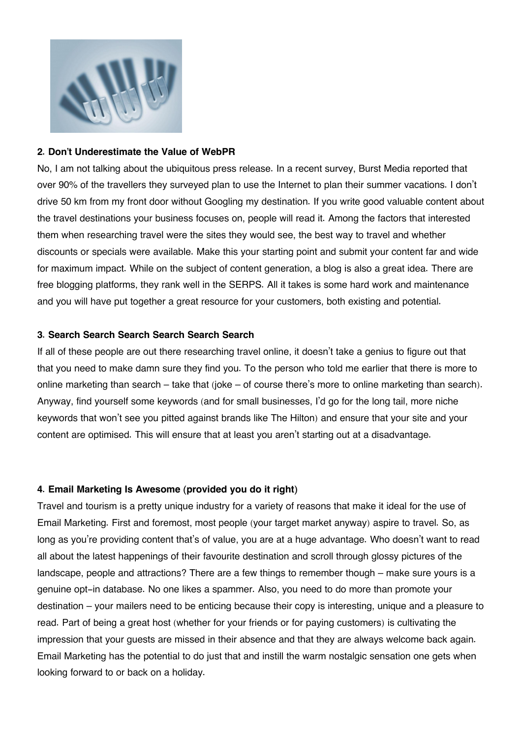

## **2. Don't Underestimate the Value of WebPR**

No, I am not talking about the ubiquitous press release. In a recent survey, Burst Media reported that over 90% of the travellers they surveyed plan to use the Internet to plan their summer vacations. I don't drive 50 km from my front door without Googling my destination. If you write good valuable content about the travel destinations your business focuses on, people will read it. Among the factors that interested them when researching travel were the sites they would see, the best way to travel and whether discounts or specials were available. Make this your starting point and submit your content far and wide for maximum impact. While on the subject of content generation, a blog is also a great idea. There are free blogging platforms, they rank well in the SERPS. All it takes is some hard work and maintenance and you will have put together a great resource for your customers, both existing and potential.

#### **3. Search Search Search Search Search Search**

If all of these people are out there researching travel online, it doesn't take a genius to figure out that that you need to make damn sure they find you. To the person who told me earlier that there is more to online marketing than search – take that (joke – of course there's more to online marketing than search). Anyway, find yourself some keywords (and for small businesses, I'd go for the long tail, more niche keywords that won't see you pitted against brands like The Hilton) and ensure that your site and your content are optimised. This will ensure that at least you aren't starting out at a disadvantage.

## **4. Email Marketing Is Awesome (provided you do it right)**

Travel and tourism is a pretty unique industry for a variety of reasons that make it ideal for the use of Email Marketing. First and foremost, most people (your target market anyway) aspire to travel. So, as long as you're providing content that's of value, you are at a huge advantage. Who doesn't want to read all about the latest happenings of their favourite destination and scroll through glossy pictures of the landscape, people and attractions? There are a few things to remember though – make sure yours is a genuine opt-in database. No one likes a spammer. Also, you need to do more than promote your destination – your mailers need to be enticing because their copy is interesting, unique and a pleasure to read. Part of being a great host (whether for your friends or for paying customers) is cultivating the impression that your guests are missed in their absence and that they are always welcome back again. Email Marketing has the potential to do just that and instill the warm nostalgic sensation one gets when looking forward to or back on a holiday.